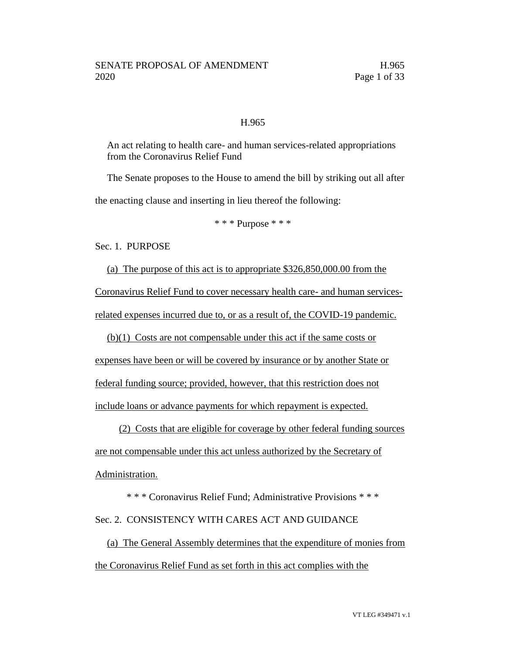#### H.965

An act relating to health care- and human services-related appropriations from the Coronavirus Relief Fund

The Senate proposes to the House to amend the bill by striking out all after the enacting clause and inserting in lieu thereof the following:

\* \* \* Purpose \* \* \*

Sec. 1. PURPOSE

(a) The purpose of this act is to appropriate \$326,850,000.00 from the Coronavirus Relief Fund to cover necessary health care- and human servicesrelated expenses incurred due to, or as a result of, the COVID-19 pandemic.

(b)(1) Costs are not compensable under this act if the same costs or

expenses have been or will be covered by insurance or by another State or federal funding source; provided, however, that this restriction does not include loans or advance payments for which repayment is expected.

(2) Costs that are eligible for coverage by other federal funding sources are not compensable under this act unless authorized by the Secretary of Administration.

\* \* \* Coronavirus Relief Fund; Administrative Provisions \* \* \*

#### Sec. 2. CONSISTENCY WITH CARES ACT AND GUIDANCE

(a) The General Assembly determines that the expenditure of monies from the Coronavirus Relief Fund as set forth in this act complies with the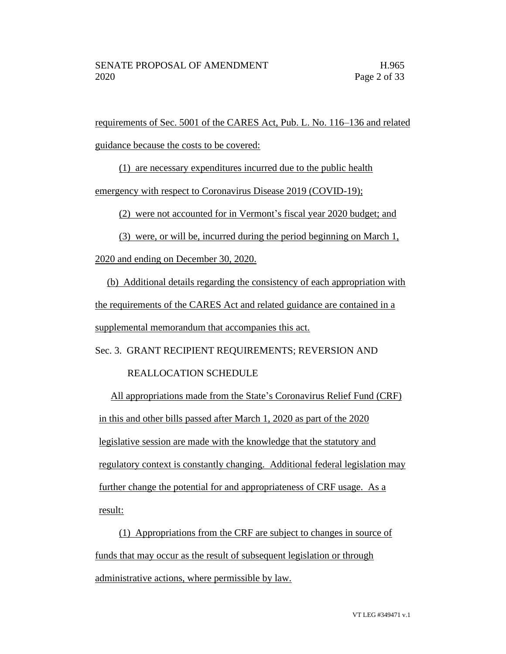requirements of Sec. 5001 of the CARES Act, Pub. L. No. 116–136 and related guidance because the costs to be covered:

(1) are necessary expenditures incurred due to the public health

emergency with respect to Coronavirus Disease 2019 (COVID-19);

(2) were not accounted for in Vermont's fiscal year 2020 budget; and

(3) were, or will be, incurred during the period beginning on March 1,

2020 and ending on December 30, 2020.

(b) Additional details regarding the consistency of each appropriation with the requirements of the CARES Act and related guidance are contained in a supplemental memorandum that accompanies this act.

Sec. 3. GRANT RECIPIENT REQUIREMENTS; REVERSION AND

#### REALLOCATION SCHEDULE

All appropriations made from the State's Coronavirus Relief Fund (CRF) in this and other bills passed after March 1, 2020 as part of the 2020 legislative session are made with the knowledge that the statutory and regulatory context is constantly changing. Additional federal legislation may further change the potential for and appropriateness of CRF usage. As a result:

(1) Appropriations from the CRF are subject to changes in source of funds that may occur as the result of subsequent legislation or through administrative actions, where permissible by law.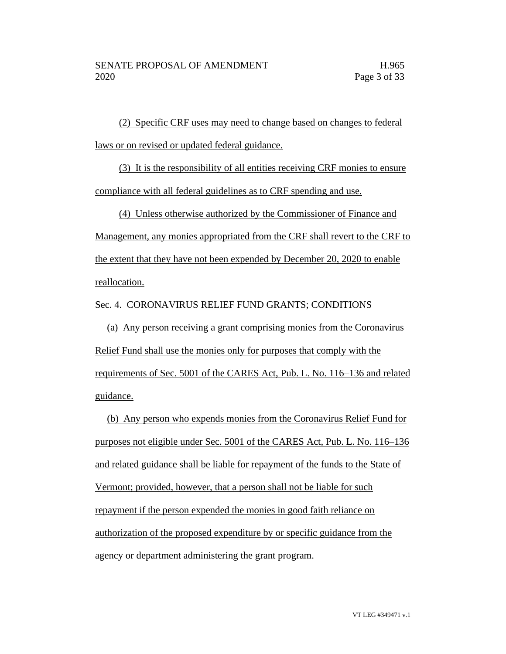(2) Specific CRF uses may need to change based on changes to federal laws or on revised or updated federal guidance.

(3) It is the responsibility of all entities receiving CRF monies to ensure compliance with all federal guidelines as to CRF spending and use.

(4) Unless otherwise authorized by the Commissioner of Finance and

Management, any monies appropriated from the CRF shall revert to the CRF to the extent that they have not been expended by December 20, 2020 to enable reallocation.

Sec. 4. CORONAVIRUS RELIEF FUND GRANTS; CONDITIONS

(a) Any person receiving a grant comprising monies from the Coronavirus Relief Fund shall use the monies only for purposes that comply with the requirements of Sec. 5001 of the CARES Act, Pub. L. No. 116–136 and related guidance.

(b) Any person who expends monies from the Coronavirus Relief Fund for purposes not eligible under Sec. 5001 of the CARES Act, Pub. L. No. 116–136 and related guidance shall be liable for repayment of the funds to the State of Vermont; provided, however, that a person shall not be liable for such repayment if the person expended the monies in good faith reliance on authorization of the proposed expenditure by or specific guidance from the agency or department administering the grant program.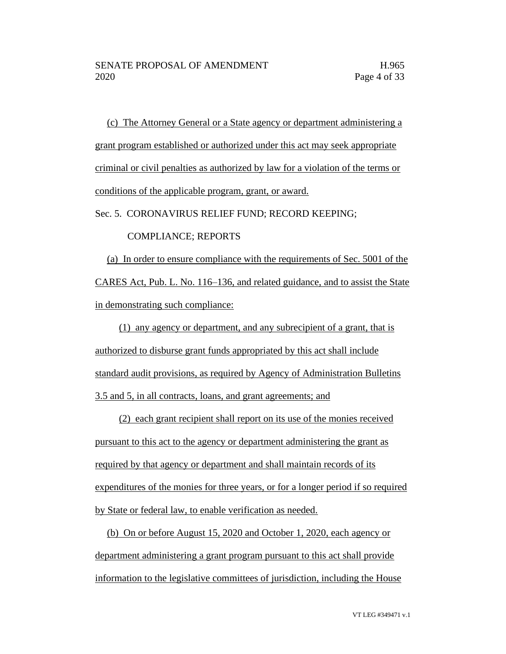(c) The Attorney General or a State agency or department administering a grant program established or authorized under this act may seek appropriate criminal or civil penalties as authorized by law for a violation of the terms or conditions of the applicable program, grant, or award.

Sec. 5. CORONAVIRUS RELIEF FUND; RECORD KEEPING;

#### COMPLIANCE; REPORTS

(a) In order to ensure compliance with the requirements of Sec. 5001 of the CARES Act, Pub. L. No. 116–136, and related guidance, and to assist the State in demonstrating such compliance:

(1) any agency or department, and any subrecipient of a grant, that is authorized to disburse grant funds appropriated by this act shall include standard audit provisions, as required by Agency of Administration Bulletins 3.5 and 5, in all contracts, loans, and grant agreements; and

(2) each grant recipient shall report on its use of the monies received pursuant to this act to the agency or department administering the grant as required by that agency or department and shall maintain records of its expenditures of the monies for three years, or for a longer period if so required by State or federal law, to enable verification as needed.

(b) On or before August 15, 2020 and October 1, 2020, each agency or department administering a grant program pursuant to this act shall provide information to the legislative committees of jurisdiction, including the House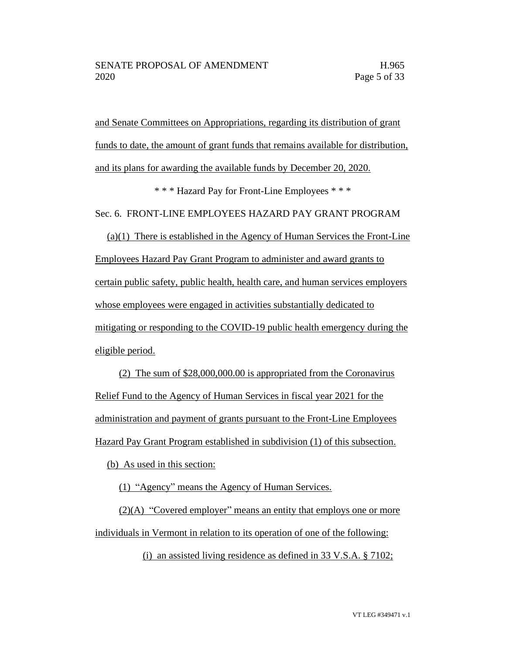and Senate Committees on Appropriations, regarding its distribution of grant funds to date, the amount of grant funds that remains available for distribution, and its plans for awarding the available funds by December 20, 2020.

\* \* \* Hazard Pay for Front-Line Employees \* \* \*

Sec. 6. FRONT-LINE EMPLOYEES HAZARD PAY GRANT PROGRAM

 $(a)(1)$  There is established in the Agency of Human Services the Front-Line Employees Hazard Pay Grant Program to administer and award grants to certain public safety, public health, health care, and human services employers whose employees were engaged in activities substantially dedicated to mitigating or responding to the COVID-19 public health emergency during the eligible period.

(2) The sum of \$28,000,000.00 is appropriated from the Coronavirus Relief Fund to the Agency of Human Services in fiscal year 2021 for the administration and payment of grants pursuant to the Front-Line Employees Hazard Pay Grant Program established in subdivision (1) of this subsection.

(b) As used in this section:

(1) "Agency" means the Agency of Human Services.

(2)(A) "Covered employer" means an entity that employs one or more individuals in Vermont in relation to its operation of one of the following:

(i) an assisted living residence as defined in 33 V.S.A. § 7102;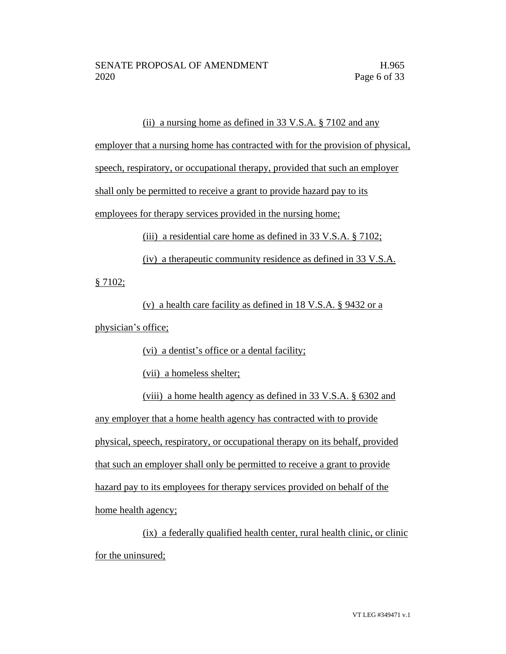#### (ii) a nursing home as defined in 33 V.S.A. § 7102 and any

employer that a nursing home has contracted with for the provision of physical,

speech, respiratory, or occupational therapy, provided that such an employer

shall only be permitted to receive a grant to provide hazard pay to its

employees for therapy services provided in the nursing home;

(iii) a residential care home as defined in 33 V.S.A. § 7102;

(iv) a therapeutic community residence as defined in 33 V.S.A.

§ 7102;

(v) a health care facility as defined in 18 V.S.A. § 9432 or a physician's office;

(vi) a dentist's office or a dental facility;

(vii) a homeless shelter;

(viii) a home health agency as defined in 33 V.S.A. § 6302 and any employer that a home health agency has contracted with to provide physical, speech, respiratory, or occupational therapy on its behalf, provided that such an employer shall only be permitted to receive a grant to provide hazard pay to its employees for therapy services provided on behalf of the home health agency;

(ix) a federally qualified health center, rural health clinic, or clinic for the uninsured;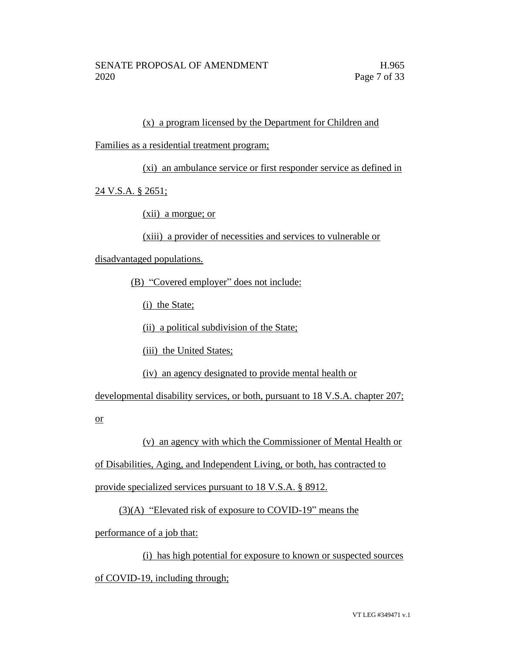#### (x) a program licensed by the Department for Children and

Families as a residential treatment program;

(xi) an ambulance service or first responder service as defined in

24 V.S.A. § 2651;

(xii) a morgue; or

(xiii) a provider of necessities and services to vulnerable or

disadvantaged populations.

(B) "Covered employer" does not include:

(i) the State;

(ii) a political subdivision of the State;

(iii) the United States;

(iv) an agency designated to provide mental health or

developmental disability services, or both, pursuant to 18 V.S.A. chapter 207;

or

(v) an agency with which the Commissioner of Mental Health or

of Disabilities, Aging, and Independent Living, or both, has contracted to

provide specialized services pursuant to 18 V.S.A. § 8912.

(3)(A) "Elevated risk of exposure to COVID-19" means the

performance of a job that:

(i) has high potential for exposure to known or suspected sources

of COVID-19, including through;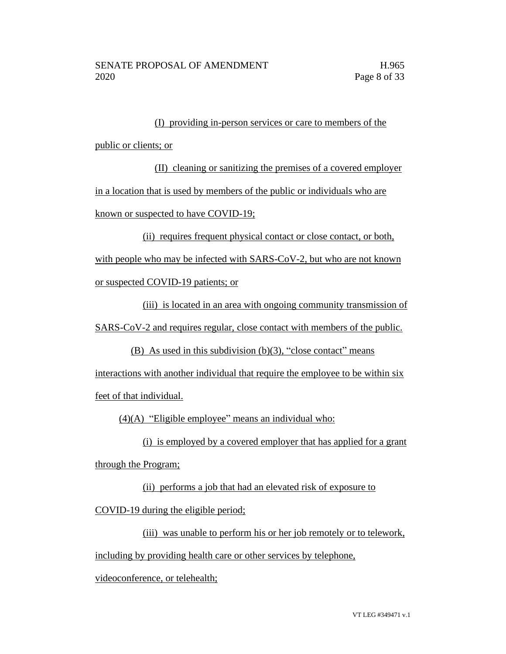# (I) providing in-person services or care to members of the public or clients; or

(II) cleaning or sanitizing the premises of a covered employer in a location that is used by members of the public or individuals who are known or suspected to have COVID-19;

(ii) requires frequent physical contact or close contact, or both,

with people who may be infected with SARS-CoV-2, but who are not known

or suspected COVID-19 patients; or

(iii) is located in an area with ongoing community transmission of SARS-CoV-2 and requires regular, close contact with members of the public.

(B) As used in this subdivision  $(b)(3)$ , "close contact" means

interactions with another individual that require the employee to be within six

feet of that individual.

(4)(A) "Eligible employee" means an individual who:

(i) is employed by a covered employer that has applied for a grant

through the Program;

(ii) performs a job that had an elevated risk of exposure to

COVID-19 during the eligible period;

(iii) was unable to perform his or her job remotely or to telework,

including by providing health care or other services by telephone,

videoconference, or telehealth;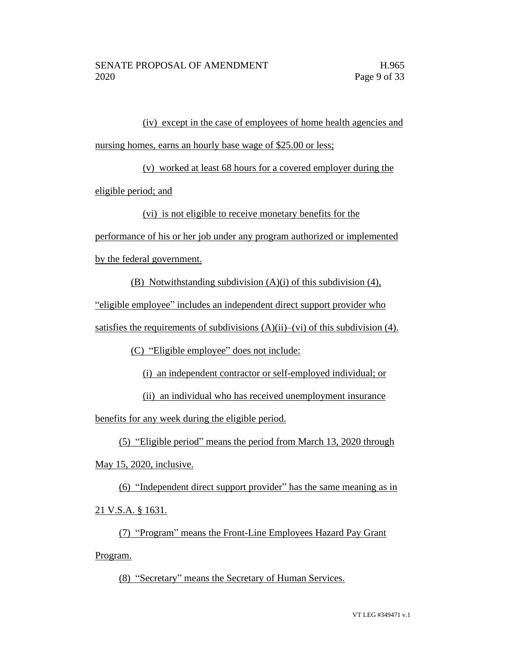(iv) except in the case of employees of home health agencies and nursing homes, earns an hourly base wage of \$25.00 or less;

(v) worked at least 68 hours for a covered employer during the eligible period; and

(vi) is not eligible to receive monetary benefits for the

performance of his or her job under any program authorized or implemented

by the federal government.

(B) Notwithstanding subdivision (A)(i) of this subdivision (4),

"eligible employee" includes an independent direct support provider who

satisfies the requirements of subdivisions  $(A)(ii)$ –(vi) of this subdivision (4).

(C) "Eligible employee" does not include:

(i) an independent contractor or self-employed individual; or

(ii) an individual who has received unemployment insurance

benefits for any week during the eligible period.

(5) "Eligible period" means the period from March 13, 2020 through

May 15, 2020, inclusive.

(6) "Independent direct support provider" has the same meaning as in 21 V.S.A. § 1631.

(7) "Program" means the Front-Line Employees Hazard Pay Grant Program.

(8) "Secretary" means the Secretary of Human Services.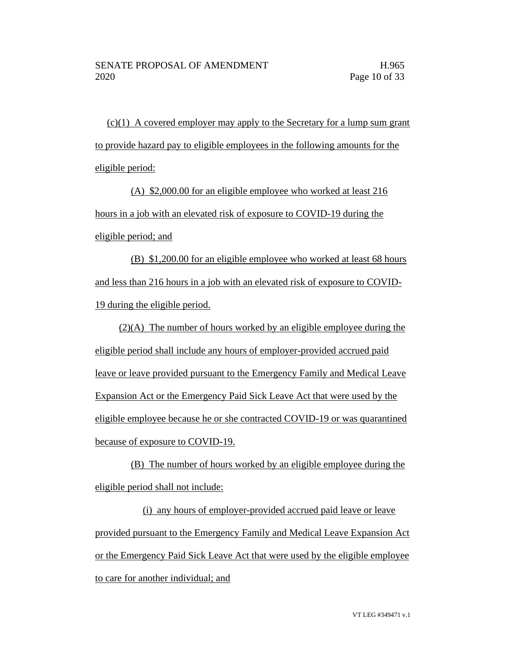$(c)(1)$  A covered employer may apply to the Secretary for a lump sum grant to provide hazard pay to eligible employees in the following amounts for the eligible period:

(A) \$2,000.00 for an eligible employee who worked at least 216 hours in a job with an elevated risk of exposure to COVID-19 during the eligible period; and

(B) \$1,200.00 for an eligible employee who worked at least 68 hours and less than 216 hours in a job with an elevated risk of exposure to COVID-19 during the eligible period.

(2)(A) The number of hours worked by an eligible employee during the eligible period shall include any hours of employer-provided accrued paid leave or leave provided pursuant to the Emergency Family and Medical Leave Expansion Act or the Emergency Paid Sick Leave Act that were used by the eligible employee because he or she contracted COVID-19 or was quarantined because of exposure to COVID-19.

(B) The number of hours worked by an eligible employee during the eligible period shall not include:

(i) any hours of employer-provided accrued paid leave or leave provided pursuant to the Emergency Family and Medical Leave Expansion Act or the Emergency Paid Sick Leave Act that were used by the eligible employee to care for another individual; and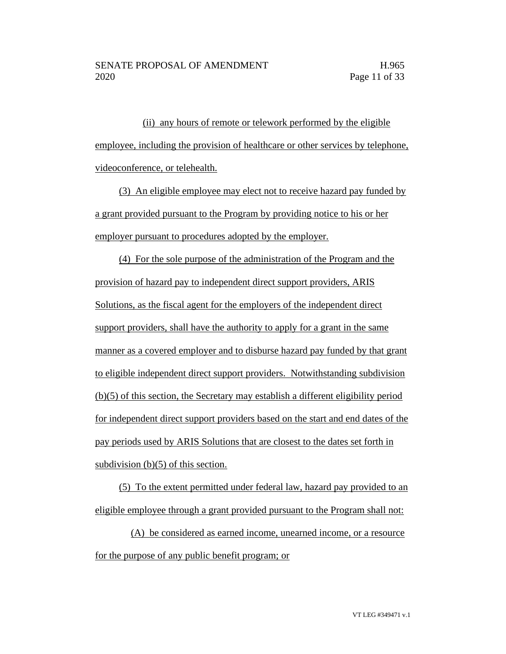(ii) any hours of remote or telework performed by the eligible employee, including the provision of healthcare or other services by telephone, videoconference, or telehealth.

(3) An eligible employee may elect not to receive hazard pay funded by a grant provided pursuant to the Program by providing notice to his or her employer pursuant to procedures adopted by the employer.

(4) For the sole purpose of the administration of the Program and the provision of hazard pay to independent direct support providers, ARIS Solutions, as the fiscal agent for the employers of the independent direct support providers, shall have the authority to apply for a grant in the same manner as a covered employer and to disburse hazard pay funded by that grant to eligible independent direct support providers. Notwithstanding subdivision (b)(5) of this section, the Secretary may establish a different eligibility period for independent direct support providers based on the start and end dates of the pay periods used by ARIS Solutions that are closest to the dates set forth in subdivision (b)(5) of this section.

(5) To the extent permitted under federal law, hazard pay provided to an eligible employee through a grant provided pursuant to the Program shall not:

(A) be considered as earned income, unearned income, or a resource for the purpose of any public benefit program; or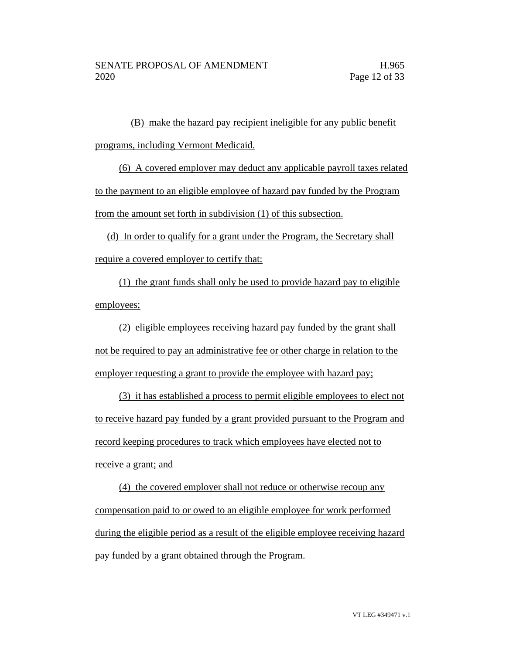(B) make the hazard pay recipient ineligible for any public benefit programs, including Vermont Medicaid.

(6) A covered employer may deduct any applicable payroll taxes related to the payment to an eligible employee of hazard pay funded by the Program from the amount set forth in subdivision (1) of this subsection.

(d) In order to qualify for a grant under the Program, the Secretary shall require a covered employer to certify that:

(1) the grant funds shall only be used to provide hazard pay to eligible employees;

(2) eligible employees receiving hazard pay funded by the grant shall not be required to pay an administrative fee or other charge in relation to the employer requesting a grant to provide the employee with hazard pay;

(3) it has established a process to permit eligible employees to elect not to receive hazard pay funded by a grant provided pursuant to the Program and record keeping procedures to track which employees have elected not to receive a grant; and

(4) the covered employer shall not reduce or otherwise recoup any compensation paid to or owed to an eligible employee for work performed during the eligible period as a result of the eligible employee receiving hazard pay funded by a grant obtained through the Program.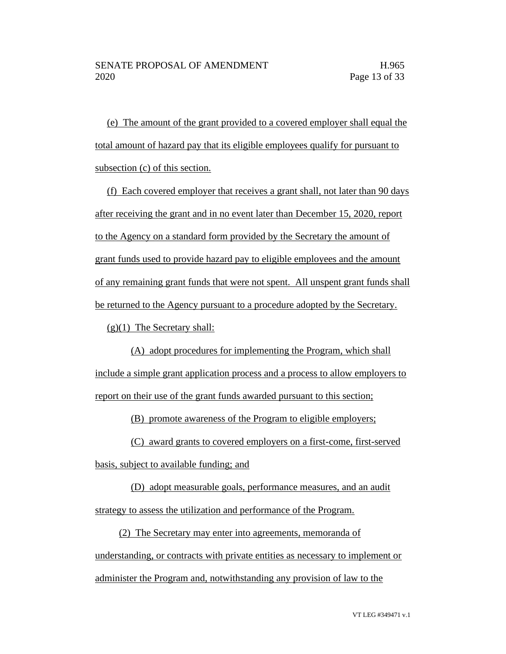(e) The amount of the grant provided to a covered employer shall equal the total amount of hazard pay that its eligible employees qualify for pursuant to subsection (c) of this section.

(f) Each covered employer that receives a grant shall, not later than 90 days after receiving the grant and in no event later than December 15, 2020, report to the Agency on a standard form provided by the Secretary the amount of grant funds used to provide hazard pay to eligible employees and the amount of any remaining grant funds that were not spent. All unspent grant funds shall be returned to the Agency pursuant to a procedure adopted by the Secretary.

(g)(1) The Secretary shall:

(A) adopt procedures for implementing the Program, which shall include a simple grant application process and a process to allow employers to report on their use of the grant funds awarded pursuant to this section;

(B) promote awareness of the Program to eligible employers;

(C) award grants to covered employers on a first-come, first-served

basis, subject to available funding; and

(D) adopt measurable goals, performance measures, and an audit

strategy to assess the utilization and performance of the Program.

(2) The Secretary may enter into agreements, memoranda of understanding, or contracts with private entities as necessary to implement or administer the Program and, notwithstanding any provision of law to the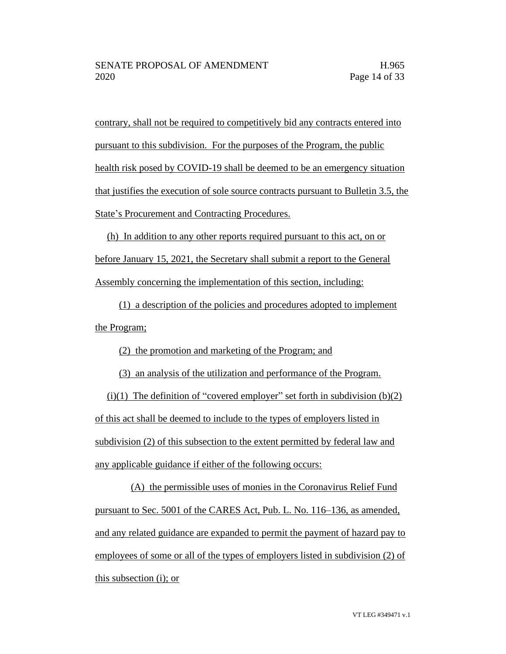contrary, shall not be required to competitively bid any contracts entered into pursuant to this subdivision. For the purposes of the Program, the public health risk posed by COVID-19 shall be deemed to be an emergency situation that justifies the execution of sole source contracts pursuant to Bulletin 3.5, the State's Procurement and Contracting Procedures.

(h) In addition to any other reports required pursuant to this act, on or before January 15, 2021, the Secretary shall submit a report to the General Assembly concerning the implementation of this section, including:

(1) a description of the policies and procedures adopted to implement the Program;

(2) the promotion and marketing of the Program; and

(3) an analysis of the utilization and performance of the Program.

(i)(1) The definition of "covered employer" set forth in subdivision  $(b)(2)$ of this act shall be deemed to include to the types of employers listed in subdivision (2) of this subsection to the extent permitted by federal law and any applicable guidance if either of the following occurs:

(A) the permissible uses of monies in the Coronavirus Relief Fund pursuant to Sec. 5001 of the CARES Act, Pub. L. No. 116–136, as amended, and any related guidance are expanded to permit the payment of hazard pay to employees of some or all of the types of employers listed in subdivision (2) of this subsection (i); or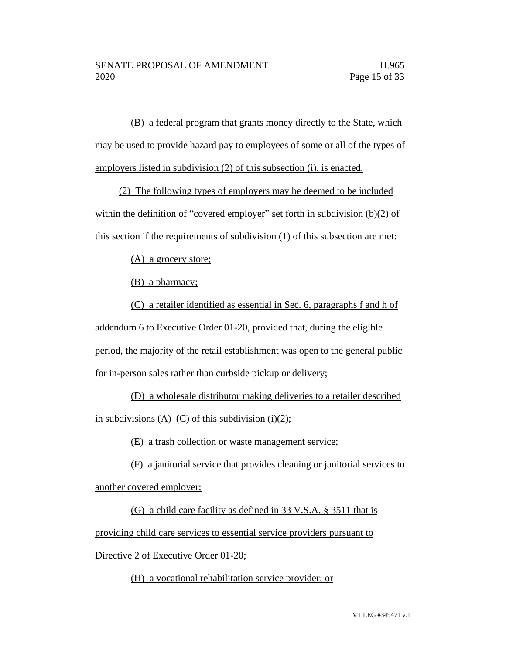(B) a federal program that grants money directly to the State, which may be used to provide hazard pay to employees of some or all of the types of employers listed in subdivision (2) of this subsection (i), is enacted.

(2) The following types of employers may be deemed to be included within the definition of "covered employer" set forth in subdivision (b)(2) of this section if the requirements of subdivision (1) of this subsection are met:

(A) a grocery store;

(B) a pharmacy;

(C) a retailer identified as essential in Sec. 6, paragraphs f and h of addendum 6 to Executive Order 01-20, provided that, during the eligible period, the majority of the retail establishment was open to the general public for in-person sales rather than curbside pickup or delivery;

(D) a wholesale distributor making deliveries to a retailer described in subdivisions  $(A)$ – $(C)$  of this subdivision (i)(2);

(E) a trash collection or waste management service;

(F) a janitorial service that provides cleaning or janitorial services to

another covered employer;

(G) a child care facility as defined in 33 V.S.A. § 3511 that is

providing child care services to essential service providers pursuant to

Directive 2 of Executive Order 01-20;

(H) a vocational rehabilitation service provider; or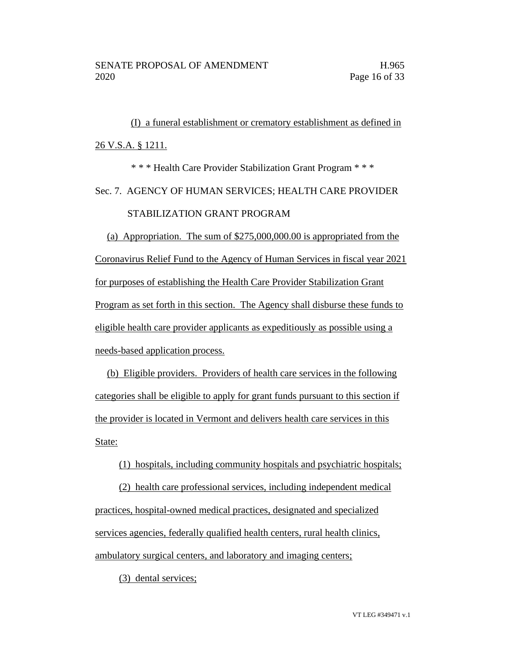(I) a funeral establishment or crematory establishment as defined in 26 V.S.A. § 1211.

\* \* \* Health Care Provider Stabilization Grant Program \* \* \* Sec. 7. AGENCY OF HUMAN SERVICES; HEALTH CARE PROVIDER STABILIZATION GRANT PROGRAM

(a) Appropriation. The sum of \$275,000,000.00 is appropriated from the Coronavirus Relief Fund to the Agency of Human Services in fiscal year 2021 for purposes of establishing the Health Care Provider Stabilization Grant Program as set forth in this section. The Agency shall disburse these funds to eligible health care provider applicants as expeditiously as possible using a needs-based application process.

(b) Eligible providers. Providers of health care services in the following categories shall be eligible to apply for grant funds pursuant to this section if the provider is located in Vermont and delivers health care services in this State:

(1) hospitals, including community hospitals and psychiatric hospitals;

(2) health care professional services, including independent medical practices, hospital-owned medical practices, designated and specialized services agencies, federally qualified health centers, rural health clinics, ambulatory surgical centers, and laboratory and imaging centers;

(3) dental services;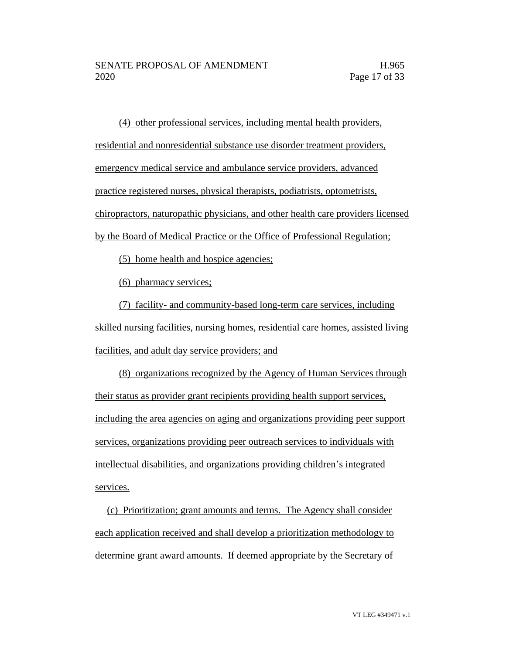(4) other professional services, including mental health providers, residential and nonresidential substance use disorder treatment providers, emergency medical service and ambulance service providers, advanced practice registered nurses, physical therapists, podiatrists, optometrists, chiropractors, naturopathic physicians, and other health care providers licensed by the Board of Medical Practice or the Office of Professional Regulation;

(5) home health and hospice agencies;

(6) pharmacy services;

(7) facility- and community-based long-term care services, including skilled nursing facilities, nursing homes, residential care homes, assisted living facilities, and adult day service providers; and

(8) organizations recognized by the Agency of Human Services through their status as provider grant recipients providing health support services, including the area agencies on aging and organizations providing peer support services, organizations providing peer outreach services to individuals with intellectual disabilities, and organizations providing children's integrated services.

(c) Prioritization; grant amounts and terms. The Agency shall consider each application received and shall develop a prioritization methodology to determine grant award amounts. If deemed appropriate by the Secretary of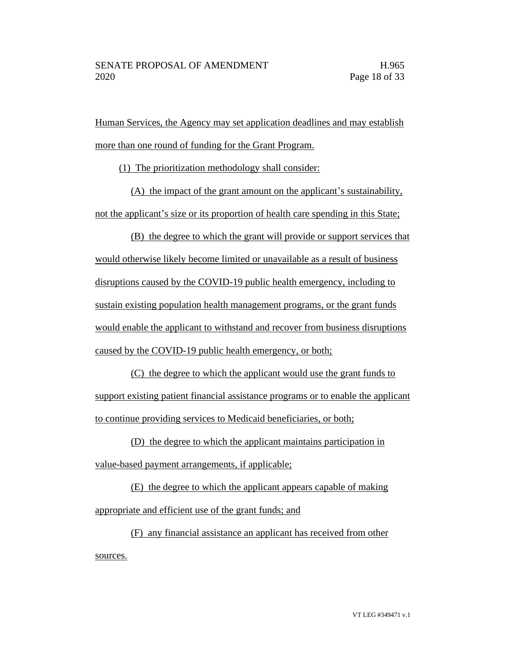Human Services, the Agency may set application deadlines and may establish more than one round of funding for the Grant Program.

(1) The prioritization methodology shall consider:

(A) the impact of the grant amount on the applicant's sustainability, not the applicant's size or its proportion of health care spending in this State;

(B) the degree to which the grant will provide or support services that would otherwise likely become limited or unavailable as a result of business disruptions caused by the COVID-19 public health emergency, including to sustain existing population health management programs, or the grant funds would enable the applicant to withstand and recover from business disruptions caused by the COVID-19 public health emergency, or both;

(C) the degree to which the applicant would use the grant funds to support existing patient financial assistance programs or to enable the applicant to continue providing services to Medicaid beneficiaries, or both;

(D) the degree to which the applicant maintains participation in value-based payment arrangements, if applicable;

(E) the degree to which the applicant appears capable of making appropriate and efficient use of the grant funds; and

(F) any financial assistance an applicant has received from other sources.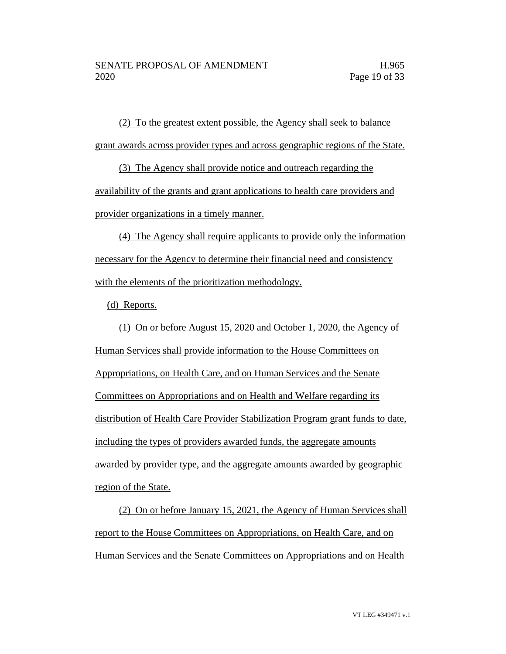(2) To the greatest extent possible, the Agency shall seek to balance grant awards across provider types and across geographic regions of the State.

(3) The Agency shall provide notice and outreach regarding the availability of the grants and grant applications to health care providers and provider organizations in a timely manner.

(4) The Agency shall require applicants to provide only the information necessary for the Agency to determine their financial need and consistency with the elements of the prioritization methodology.

(d) Reports.

(1) On or before August 15, 2020 and October 1, 2020, the Agency of Human Services shall provide information to the House Committees on Appropriations, on Health Care, and on Human Services and the Senate Committees on Appropriations and on Health and Welfare regarding its distribution of Health Care Provider Stabilization Program grant funds to date, including the types of providers awarded funds, the aggregate amounts awarded by provider type, and the aggregate amounts awarded by geographic region of the State.

(2) On or before January 15, 2021, the Agency of Human Services shall report to the House Committees on Appropriations, on Health Care, and on Human Services and the Senate Committees on Appropriations and on Health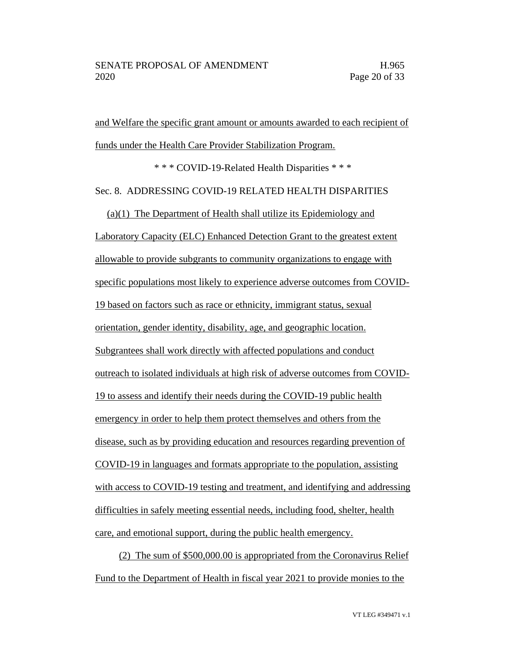and Welfare the specific grant amount or amounts awarded to each recipient of funds under the Health Care Provider Stabilization Program.

\* \* \* COVID-19-Related Health Disparities \* \* \*

#### Sec. 8. ADDRESSING COVID-19 RELATED HEALTH DISPARITIES

(a)(1) The Department of Health shall utilize its Epidemiology and Laboratory Capacity (ELC) Enhanced Detection Grant to the greatest extent allowable to provide subgrants to community organizations to engage with specific populations most likely to experience adverse outcomes from COVID-19 based on factors such as race or ethnicity, immigrant status, sexual orientation, gender identity, disability, age, and geographic location. Subgrantees shall work directly with affected populations and conduct outreach to isolated individuals at high risk of adverse outcomes from COVID-19 to assess and identify their needs during the COVID-19 public health emergency in order to help them protect themselves and others from the disease, such as by providing education and resources regarding prevention of COVID-19 in languages and formats appropriate to the population, assisting with access to COVID-19 testing and treatment, and identifying and addressing difficulties in safely meeting essential needs, including food, shelter, health care, and emotional support, during the public health emergency.

(2) The sum of \$500,000.00 is appropriated from the Coronavirus Relief Fund to the Department of Health in fiscal year 2021 to provide monies to the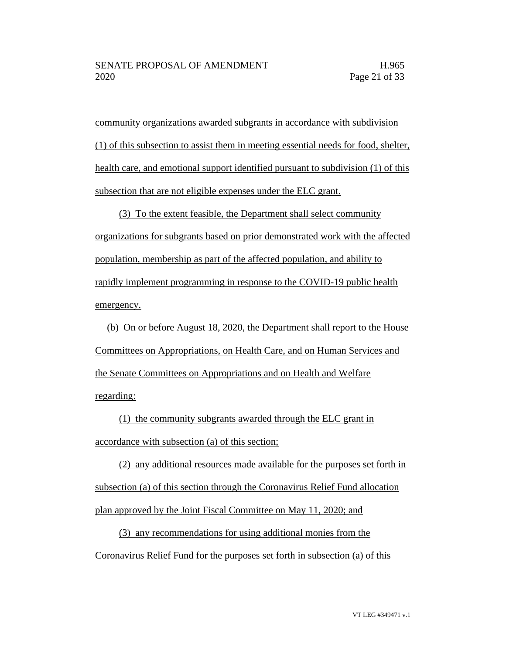community organizations awarded subgrants in accordance with subdivision (1) of this subsection to assist them in meeting essential needs for food, shelter, health care, and emotional support identified pursuant to subdivision (1) of this subsection that are not eligible expenses under the ELC grant.

(3) To the extent feasible, the Department shall select community organizations for subgrants based on prior demonstrated work with the affected population, membership as part of the affected population, and ability to rapidly implement programming in response to the COVID-19 public health emergency.

(b) On or before August 18, 2020, the Department shall report to the House Committees on Appropriations, on Health Care, and on Human Services and the Senate Committees on Appropriations and on Health and Welfare regarding:

(1) the community subgrants awarded through the ELC grant in accordance with subsection (a) of this section;

(2) any additional resources made available for the purposes set forth in subsection (a) of this section through the Coronavirus Relief Fund allocation plan approved by the Joint Fiscal Committee on May 11, 2020; and

(3) any recommendations for using additional monies from the Coronavirus Relief Fund for the purposes set forth in subsection (a) of this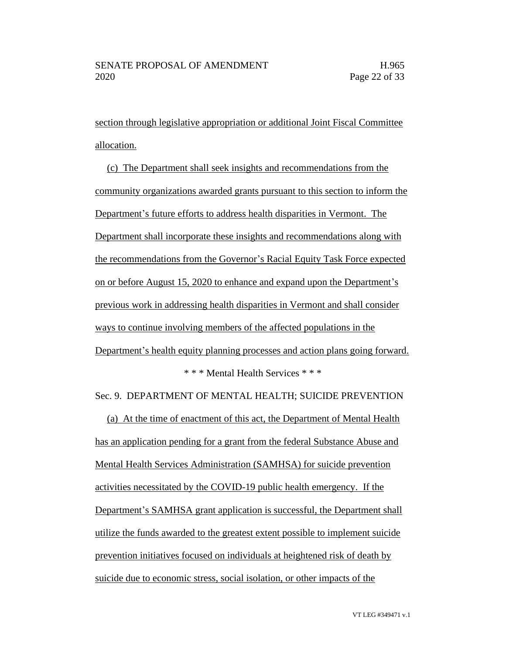section through legislative appropriation or additional Joint Fiscal Committee allocation.

(c) The Department shall seek insights and recommendations from the community organizations awarded grants pursuant to this section to inform the Department's future efforts to address health disparities in Vermont. The Department shall incorporate these insights and recommendations along with the recommendations from the Governor's Racial Equity Task Force expected on or before August 15, 2020 to enhance and expand upon the Department's previous work in addressing health disparities in Vermont and shall consider ways to continue involving members of the affected populations in the Department's health equity planning processes and action plans going forward. \* \* \* Mental Health Services \* \* \*

Sec. 9. DEPARTMENT OF MENTAL HEALTH; SUICIDE PREVENTION

(a) At the time of enactment of this act, the Department of Mental Health has an application pending for a grant from the federal Substance Abuse and Mental Health Services Administration (SAMHSA) for suicide prevention activities necessitated by the COVID-19 public health emergency. If the Department's SAMHSA grant application is successful, the Department shall utilize the funds awarded to the greatest extent possible to implement suicide prevention initiatives focused on individuals at heightened risk of death by suicide due to economic stress, social isolation, or other impacts of the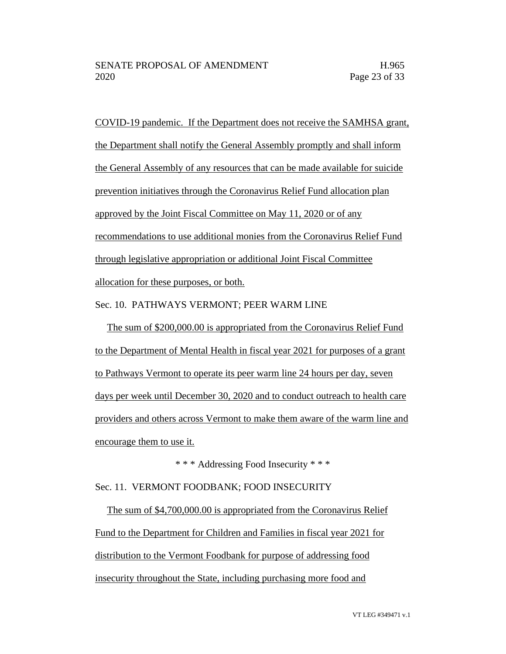COVID-19 pandemic. If the Department does not receive the SAMHSA grant, the Department shall notify the General Assembly promptly and shall inform the General Assembly of any resources that can be made available for suicide prevention initiatives through the Coronavirus Relief Fund allocation plan approved by the Joint Fiscal Committee on May 11, 2020 or of any recommendations to use additional monies from the Coronavirus Relief Fund through legislative appropriation or additional Joint Fiscal Committee allocation for these purposes, or both.

Sec. 10. PATHWAYS VERMONT; PEER WARM LINE

The sum of \$200,000.00 is appropriated from the Coronavirus Relief Fund to the Department of Mental Health in fiscal year 2021 for purposes of a grant to Pathways Vermont to operate its peer warm line 24 hours per day, seven days per week until December 30, 2020 and to conduct outreach to health care providers and others across Vermont to make them aware of the warm line and encourage them to use it.

\* \* \* Addressing Food Insecurity \* \* \*

#### Sec. 11. VERMONT FOODBANK; FOOD INSECURITY

The sum of \$4,700,000.00 is appropriated from the Coronavirus Relief Fund to the Department for Children and Families in fiscal year 2021 for distribution to the Vermont Foodbank for purpose of addressing food insecurity throughout the State, including purchasing more food and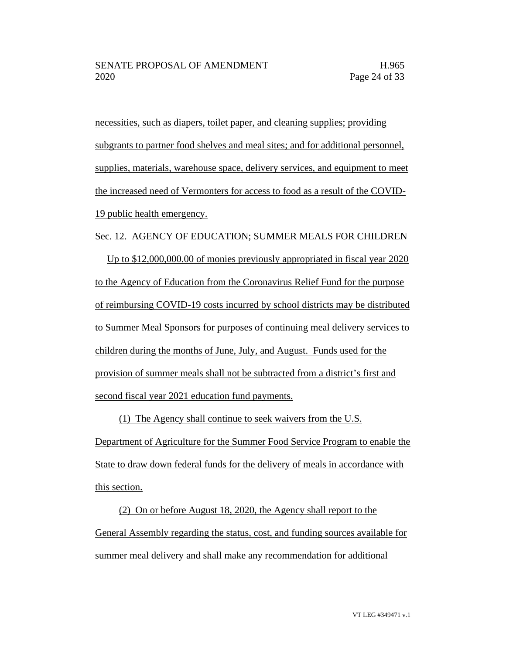necessities, such as diapers, toilet paper, and cleaning supplies; providing subgrants to partner food shelves and meal sites; and for additional personnel, supplies, materials, warehouse space, delivery services, and equipment to meet the increased need of Vermonters for access to food as a result of the COVID-19 public health emergency.

Sec. 12. AGENCY OF EDUCATION; SUMMER MEALS FOR CHILDREN Up to \$12,000,000.00 of monies previously appropriated in fiscal year 2020 to the Agency of Education from the Coronavirus Relief Fund for the purpose of reimbursing COVID-19 costs incurred by school districts may be distributed to Summer Meal Sponsors for purposes of continuing meal delivery services to children during the months of June, July, and August. Funds used for the provision of summer meals shall not be subtracted from a district's first and second fiscal year 2021 education fund payments.

(1) The Agency shall continue to seek waivers from the U.S.

Department of Agriculture for the Summer Food Service Program to enable the State to draw down federal funds for the delivery of meals in accordance with this section.

(2) On or before August 18, 2020, the Agency shall report to the General Assembly regarding the status, cost, and funding sources available for summer meal delivery and shall make any recommendation for additional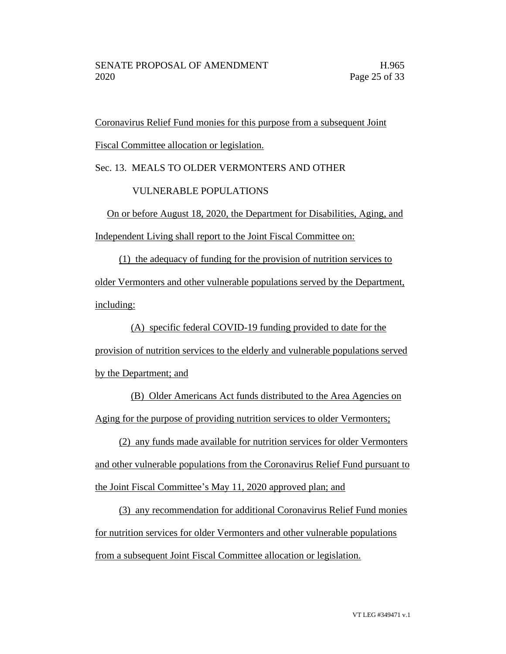Coronavirus Relief Fund monies for this purpose from a subsequent Joint Fiscal Committee allocation or legislation.

#### Sec. 13. MEALS TO OLDER VERMONTERS AND OTHER

#### VULNERABLE POPULATIONS

On or before August 18, 2020, the Department for Disabilities, Aging, and Independent Living shall report to the Joint Fiscal Committee on:

(1) the adequacy of funding for the provision of nutrition services to older Vermonters and other vulnerable populations served by the Department, including:

(A) specific federal COVID-19 funding provided to date for the provision of nutrition services to the elderly and vulnerable populations served by the Department; and

(B) Older Americans Act funds distributed to the Area Agencies on Aging for the purpose of providing nutrition services to older Vermonters;

(2) any funds made available for nutrition services for older Vermonters and other vulnerable populations from the Coronavirus Relief Fund pursuant to the Joint Fiscal Committee's May 11, 2020 approved plan; and

(3) any recommendation for additional Coronavirus Relief Fund monies for nutrition services for older Vermonters and other vulnerable populations from a subsequent Joint Fiscal Committee allocation or legislation.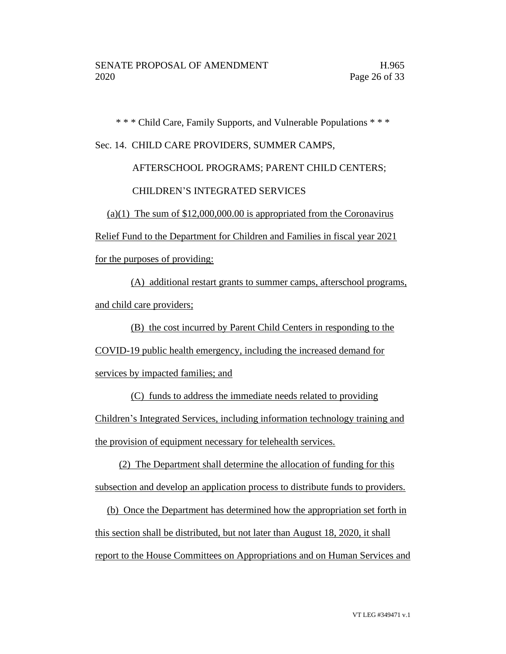\* \* \* Child Care, Family Supports, and Vulnerable Populations \* \* \*

#### Sec. 14. CHILD CARE PROVIDERS, SUMMER CAMPS,

### AFTERSCHOOL PROGRAMS; PARENT CHILD CENTERS; CHILDREN'S INTEGRATED SERVICES

(a)(1) The sum of  $$12,000,000.00$  is appropriated from the Coronavirus

Relief Fund to the Department for Children and Families in fiscal year 2021

for the purposes of providing:

(A) additional restart grants to summer camps, afterschool programs, and child care providers;

(B) the cost incurred by Parent Child Centers in responding to the

COVID-19 public health emergency, including the increased demand for

services by impacted families; and

(C) funds to address the immediate needs related to providing Children's Integrated Services, including information technology training and the provision of equipment necessary for telehealth services.

(2) The Department shall determine the allocation of funding for this subsection and develop an application process to distribute funds to providers.

(b) Once the Department has determined how the appropriation set forth in this section shall be distributed, but not later than August 18, 2020, it shall report to the House Committees on Appropriations and on Human Services and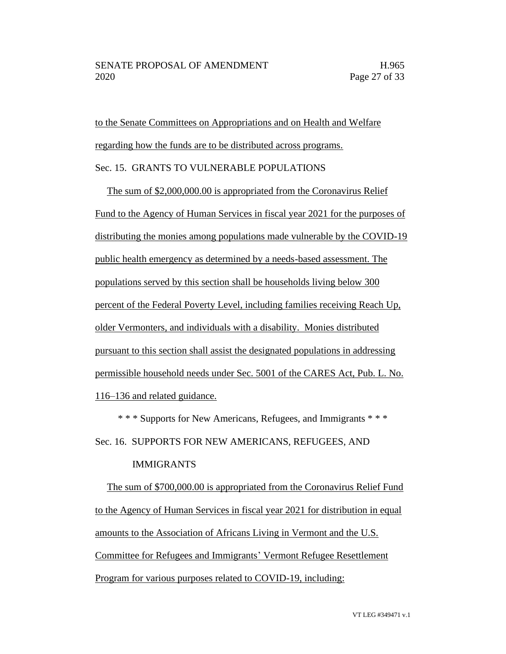to the Senate Committees on Appropriations and on Health and Welfare regarding how the funds are to be distributed across programs.

#### Sec. 15. GRANTS TO VULNERABLE POPULATIONS

The sum of \$2,000,000.00 is appropriated from the Coronavirus Relief Fund to the Agency of Human Services in fiscal year 2021 for the purposes of distributing the monies among populations made vulnerable by the COVID-19 public health emergency as determined by a needs-based assessment. The populations served by this section shall be households living below 300 percent of the Federal Poverty Level, including families receiving Reach Up, older Vermonters, and individuals with a disability. Monies distributed pursuant to this section shall assist the designated populations in addressing permissible household needs under Sec. 5001 of the CARES Act, Pub. L. No. 116–136 and related guidance.

\* \* \* Supports for New Americans, Refugees, and Immigrants \* \* \*

Sec. 16. SUPPORTS FOR NEW AMERICANS, REFUGEES, AND

#### IMMIGRANTS

The sum of \$700,000.00 is appropriated from the Coronavirus Relief Fund to the Agency of Human Services in fiscal year 2021 for distribution in equal amounts to the Association of Africans Living in Vermont and the U.S. Committee for Refugees and Immigrants' Vermont Refugee Resettlement Program for various purposes related to COVID-19, including: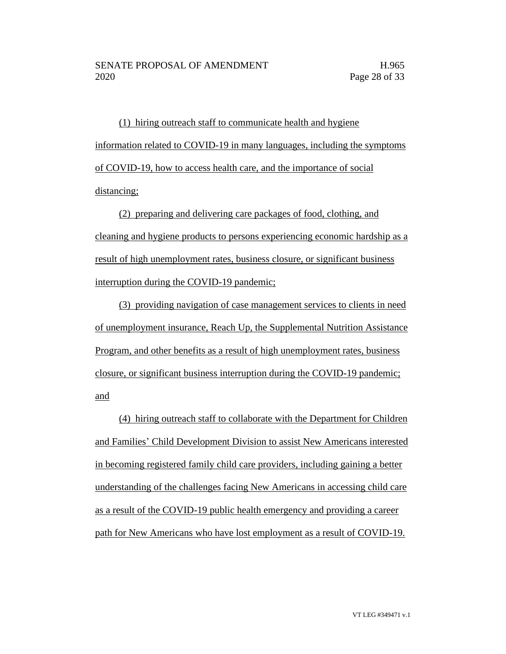(1) hiring outreach staff to communicate health and hygiene information related to COVID-19 in many languages, including the symptoms of COVID-19, how to access health care, and the importance of social distancing;

(2) preparing and delivering care packages of food, clothing, and cleaning and hygiene products to persons experiencing economic hardship as a result of high unemployment rates, business closure, or significant business interruption during the COVID-19 pandemic;

(3) providing navigation of case management services to clients in need of unemployment insurance, Reach Up, the Supplemental Nutrition Assistance Program, and other benefits as a result of high unemployment rates, business closure, or significant business interruption during the COVID-19 pandemic; and

(4) hiring outreach staff to collaborate with the Department for Children and Families' Child Development Division to assist New Americans interested in becoming registered family child care providers, including gaining a better understanding of the challenges facing New Americans in accessing child care as a result of the COVID-19 public health emergency and providing a career path for New Americans who have lost employment as a result of COVID-19.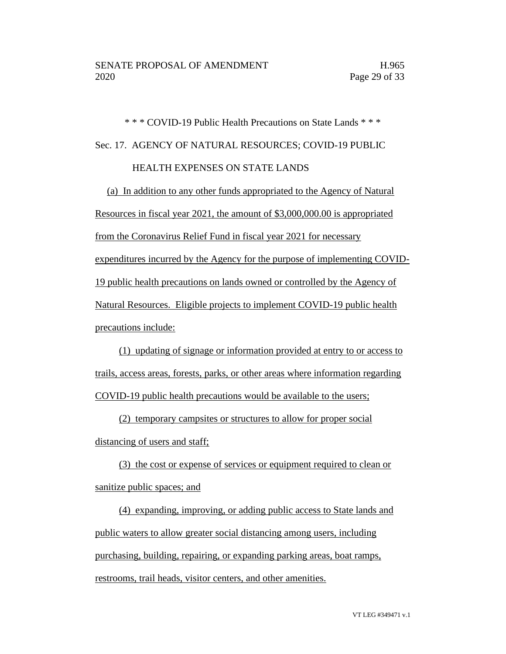# \* \* \* COVID-19 Public Health Precautions on State Lands \* \* \* Sec. 17. AGENCY OF NATURAL RESOURCES; COVID-19 PUBLIC HEALTH EXPENSES ON STATE LANDS

(a) In addition to any other funds appropriated to the Agency of Natural Resources in fiscal year 2021, the amount of \$3,000,000.00 is appropriated from the Coronavirus Relief Fund in fiscal year 2021 for necessary expenditures incurred by the Agency for the purpose of implementing COVID-19 public health precautions on lands owned or controlled by the Agency of Natural Resources. Eligible projects to implement COVID-19 public health

precautions include:

(1) updating of signage or information provided at entry to or access to trails, access areas, forests, parks, or other areas where information regarding COVID-19 public health precautions would be available to the users;

(2) temporary campsites or structures to allow for proper social distancing of users and staff;

(3) the cost or expense of services or equipment required to clean or sanitize public spaces; and

(4) expanding, improving, or adding public access to State lands and public waters to allow greater social distancing among users, including purchasing, building, repairing, or expanding parking areas, boat ramps, restrooms, trail heads, visitor centers, and other amenities.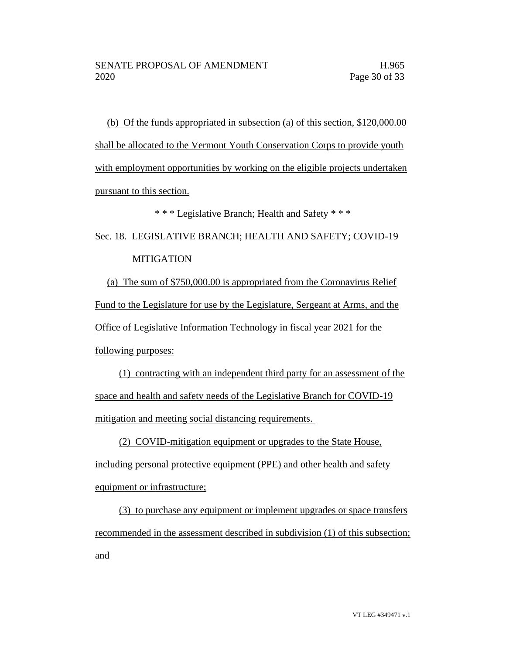(b) Of the funds appropriated in subsection (a) of this section, \$120,000.00 shall be allocated to the Vermont Youth Conservation Corps to provide youth with employment opportunities by working on the eligible projects undertaken pursuant to this section.

\* \* \* Legislative Branch; Health and Safety \* \* \*

# Sec. 18. LEGISLATIVE BRANCH; HEALTH AND SAFETY; COVID-19 MITIGATION

(a) The sum of \$750,000.00 is appropriated from the Coronavirus Relief Fund to the Legislature for use by the Legislature, Sergeant at Arms, and the Office of Legislative Information Technology in fiscal year 2021 for the following purposes:

(1) contracting with an independent third party for an assessment of the space and health and safety needs of the Legislative Branch for COVID-19 mitigation and meeting social distancing requirements.

(2) COVID-mitigation equipment or upgrades to the State House, including personal protective equipment (PPE) and other health and safety equipment or infrastructure;

(3) to purchase any equipment or implement upgrades or space transfers recommended in the assessment described in subdivision (1) of this subsection; and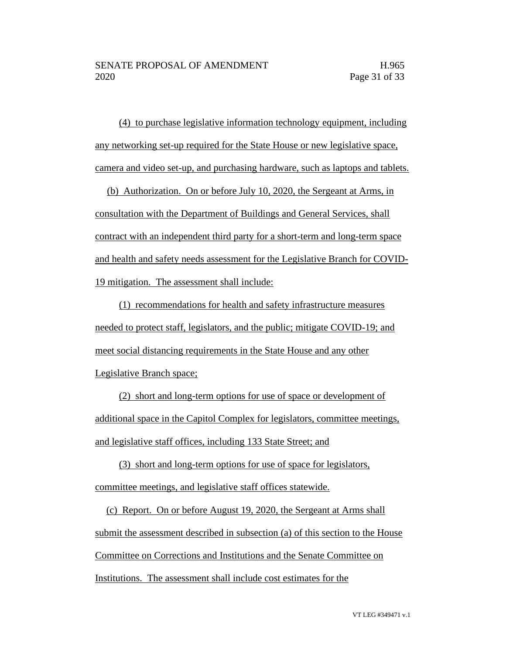(4) to purchase legislative information technology equipment, including any networking set-up required for the State House or new legislative space, camera and video set-up, and purchasing hardware, such as laptops and tablets.

(b) Authorization. On or before July 10, 2020, the Sergeant at Arms, in consultation with the Department of Buildings and General Services, shall contract with an independent third party for a short-term and long-term space and health and safety needs assessment for the Legislative Branch for COVID-19 mitigation. The assessment shall include:

(1) recommendations for health and safety infrastructure measures needed to protect staff, legislators, and the public; mitigate COVID-19; and meet social distancing requirements in the State House and any other Legislative Branch space;

(2) short and long-term options for use of space or development of additional space in the Capitol Complex for legislators, committee meetings, and legislative staff offices, including 133 State Street; and

(3) short and long-term options for use of space for legislators, committee meetings, and legislative staff offices statewide.

(c) Report. On or before August 19, 2020, the Sergeant at Arms shall submit the assessment described in subsection (a) of this section to the House Committee on Corrections and Institutions and the Senate Committee on Institutions. The assessment shall include cost estimates for the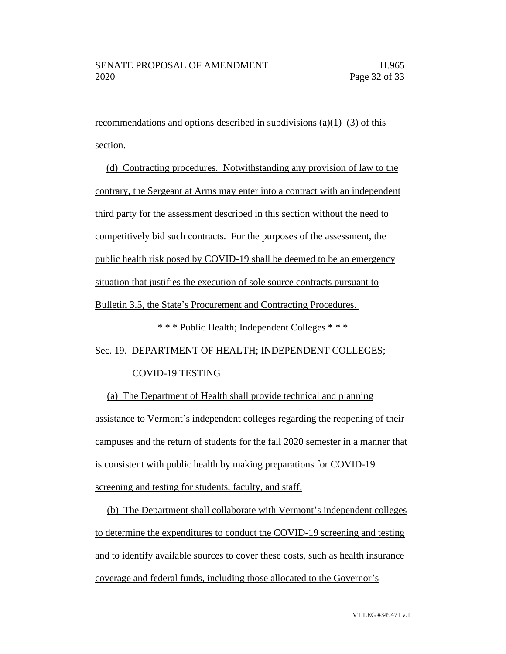recommendations and options described in subdivisions (a)(1)–(3) of this section.

(d) Contracting procedures. Notwithstanding any provision of law to the contrary, the Sergeant at Arms may enter into a contract with an independent third party for the assessment described in this section without the need to competitively bid such contracts. For the purposes of the assessment, the public health risk posed by COVID-19 shall be deemed to be an emergency situation that justifies the execution of sole source contracts pursuant to Bulletin 3.5, the State's Procurement and Contracting Procedures.

\* \* \* Public Health; Independent Colleges \* \* \*

Sec. 19. DEPARTMENT OF HEALTH; INDEPENDENT COLLEGES;

#### COVID-19 TESTING

(a) The Department of Health shall provide technical and planning assistance to Vermont's independent colleges regarding the reopening of their campuses and the return of students for the fall 2020 semester in a manner that is consistent with public health by making preparations for COVID-19 screening and testing for students, faculty, and staff.

(b) The Department shall collaborate with Vermont's independent colleges to determine the expenditures to conduct the COVID-19 screening and testing and to identify available sources to cover these costs, such as health insurance coverage and federal funds, including those allocated to the Governor's